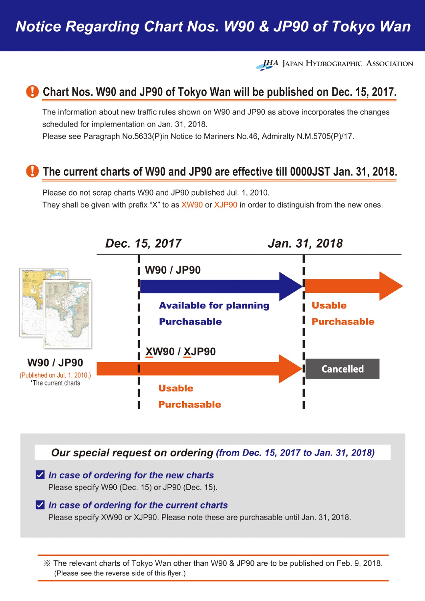**JHA** JAPAN HYDROGRAPHIC ASSOCIATION

# Chart Nos. W90 and JP90 of Tokyo Wan will be published on Dec. 15, 2017.

The information about new traffic rules shown on W90 and JP90 as above incorporates the changes scheduled for implementation on Jan. 31, 2018.

Please see Paragraph No.5633(P)in Notice to Mariners No.46, Admiralty N.M.5705(P)/17.

## The current charts of W90 and JP90 are effective till 0000JST Jan. 31, 2018.

Please do not scrap charts W90 and JP90 published Jul. 1, 2010. They shall be given with prefix "X" to as XW90 or XJP90 in order to distinguish from the new ones.



Our special request on ordering (from Dec. 15, 2017 to Jan. 31, 2018)

#### $\vee$  In case of ordering for the new charts

Please specify W90 (Dec. 15) or JP90 (Dec. 15).

#### $\vee$  In case of ordering for the current charts

Please specify XW90 or XJP90. Please note these are purchasable until Jan. 31, 2018.

X The relevant charts of Tokyo Wan other than W90 & JP90 are to be published on Feb. 9, 2018. (Please see the reverse side of this flyer.)